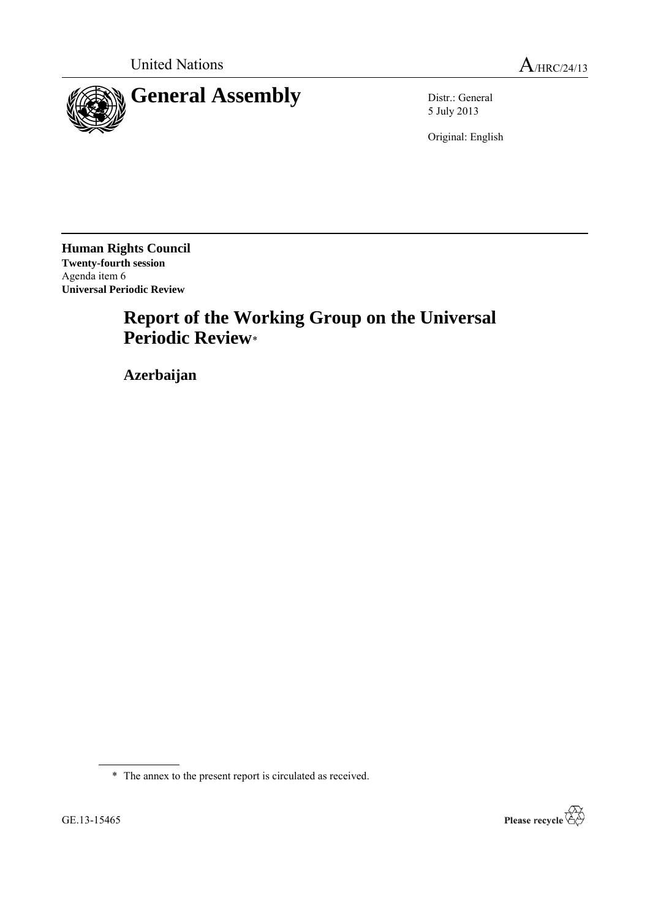

5 July 2013

Original: English

**Human Rights Council Twenty-fourth session** Agenda item 6 **Universal Periodic Review**

# **Report of the Working Group on the Universal Periodic Review**\*

**Azerbaijan**

\* The annex to the present report is circulated as received.

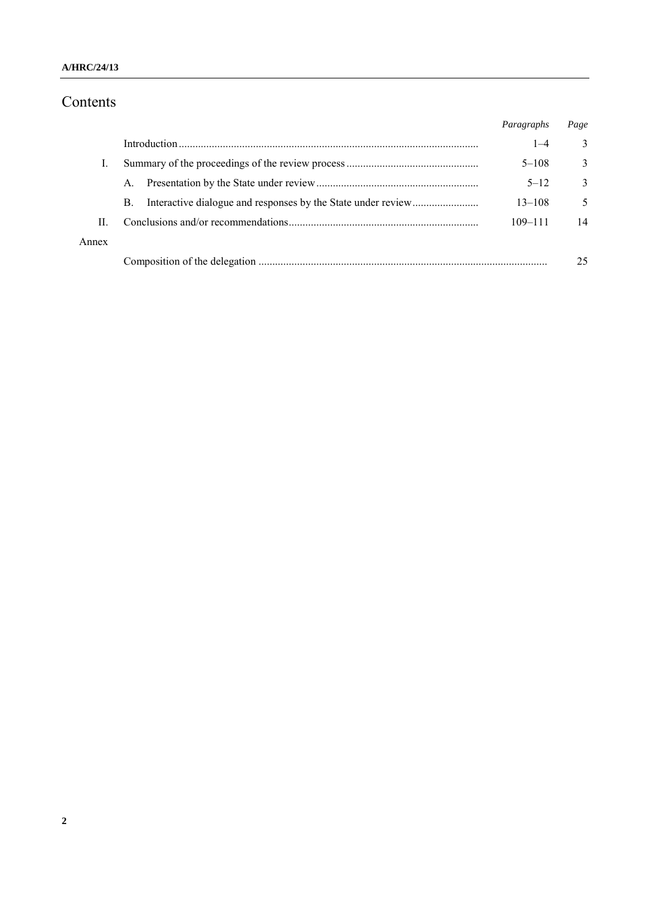## **A/HRC/24/13**

# Contents

|       |    | Paragraphs  | Page         |
|-------|----|-------------|--------------|
|       |    | $1 - 4$     | 3            |
|       |    | $5 - 108$   | 3            |
|       | A. | $5 - 12$    | $\mathbf{3}$ |
|       | B. | $13 - 108$  | 5            |
| П     |    | $109 - 111$ | 14           |
| Annex |    |             |              |
|       |    |             | 25           |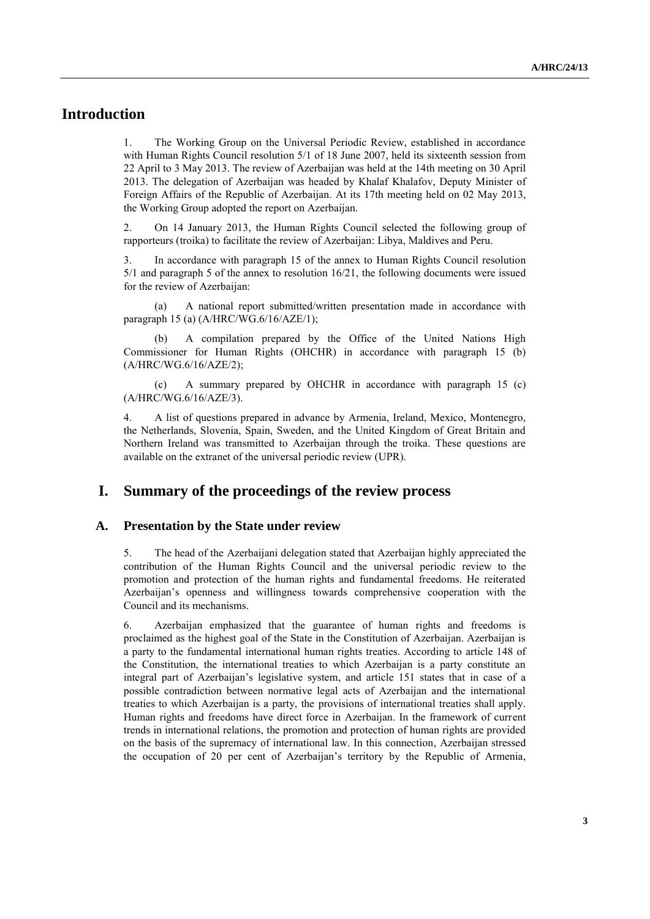# **Introduction**

1. The Working Group on the Universal Periodic Review, established in accordance with Human Rights Council resolution 5/1 of 18 June 2007, held its sixteenth session from 22 April to 3 May 2013. The review of Azerbaijan was held at the 14th meeting on 30 April 2013. The delegation of Azerbaijan was headed by Khalaf Khalafov, Deputy Minister of Foreign Affairs of the Republic of Azerbaijan. At its 17th meeting held on 02 May 2013, the Working Group adopted the report on Azerbaijan.

2. On 14 January 2013, the Human Rights Council selected the following group of rapporteurs (troika) to facilitate the review of Azerbaijan: Libya, Maldives and Peru.

3. In accordance with paragraph 15 of the annex to Human Rights Council resolution 5/1 and paragraph 5 of the annex to resolution 16/21, the following documents were issued for the review of Azerbaijan:

(a) A national report submitted/written presentation made in accordance with paragraph 15 (a) (A/HRC/WG.6/16/AZE/1);

A compilation prepared by the Office of the United Nations High Commissioner for Human Rights (OHCHR) in accordance with paragraph 15 (b) (A/HRC/WG.6/16/AZE/2);

(c) A summary prepared by OHCHR in accordance with paragraph 15 (c) (A/HRC/WG.6/16/AZE/3).

4. A list of questions prepared in advance by Armenia, Ireland, Mexico, Montenegro, the Netherlands, Slovenia, Spain, Sweden, and the United Kingdom of Great Britain and Northern Ireland was transmitted to Azerbaijan through the troika. These questions are available on the extranet of the universal periodic review (UPR).

# **I. Summary of the proceedings of the review process**

#### **A. Presentation by the State under review**

5. The head of the Azerbaijani delegation stated that Azerbaijan highly appreciated the contribution of the Human Rights Council and the universal periodic review to the promotion and protection of the human rights and fundamental freedoms. He reiterated Azerbaijan's openness and willingness towards comprehensive cooperation with the Council and its mechanisms.

6. Azerbaijan emphasized that the guarantee of human rights and freedoms is proclaimed as the highest goal of the State in the Constitution of Azerbaijan. Azerbaijan is a party to the fundamental international human rights treaties. According to article 148 of the Constitution, the international treaties to which Azerbaijan is a party constitute an integral part of Azerbaijan's legislative system, and article 151 states that in case of a possible contradiction between normative legal acts of Azerbaijan and the international treaties to which Azerbaijan is a party, the provisions of international treaties shall apply. Human rights and freedoms have direct force in Azerbaijan. In the framework of current trends in international relations, the promotion and protection of human rights are provided on the basis of the supremacy of international law. In this connection, Azerbaijan stressed the occupation of 20 per cent of Azerbaijan's territory by the Republic of Armenia,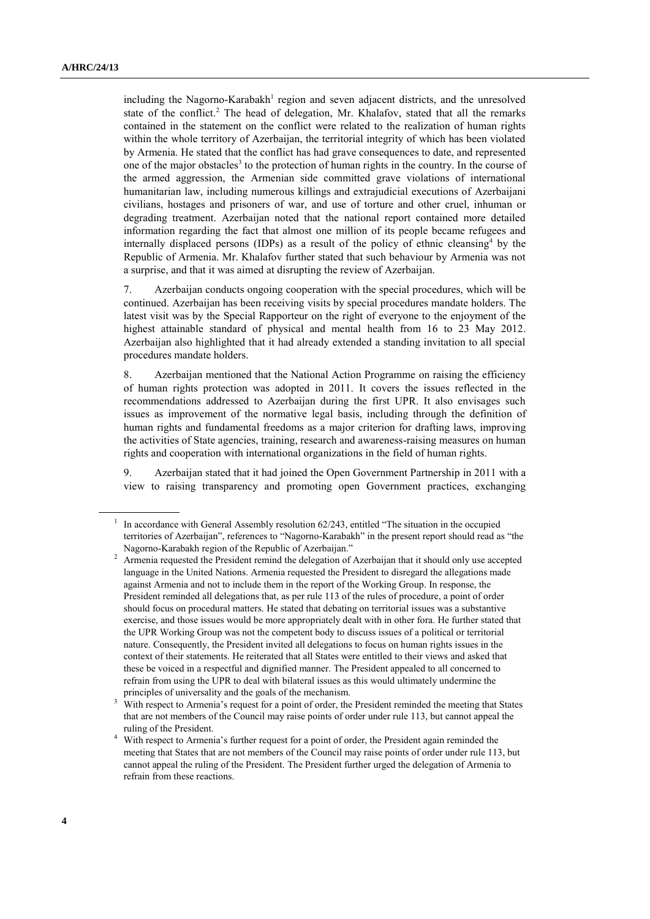including the Nagorno-Karabakh<sup>1</sup> region and seven adjacent districts, and the unresolved state of the conflict. <sup>2</sup> The head of delegation, Mr. Khalafov, stated that all the remarks contained in the statement on the conflict were related to the realization of human rights within the whole territory of Azerbaijan, the territorial integrity of which has been violated by Armenia. He stated that the conflict has had grave consequences to date, and represented one of the major obstacles<sup>3</sup> to the protection of human rights in the country. In the course of the armed aggression, the Armenian side committed grave violations of international humanitarian law, including numerous killings and extrajudicial executions of Azerbaijani civilians, hostages and prisoners of war, and use of torture and other cruel, inhuman or degrading treatment. Azerbaijan noted that the national report contained more detailed information regarding the fact that almost one million of its people became refugees and internally displaced persons (IDPs) as a result of the policy of ethnic cleansing<sup>4</sup> by the Republic of Armenia. Mr. Khalafov further stated that such behaviour by Armenia was not a surprise, and that it was aimed at disrupting the review of Azerbaijan.

7. Azerbaijan conducts ongoing cooperation with the special procedures, which will be continued. Azerbaijan has been receiving visits by special procedures mandate holders. The latest visit was by the Special Rapporteur on the right of everyone to the enjoyment of the highest attainable standard of physical and mental health from 16 to 23 May 2012. Azerbaijan also highlighted that it had already extended a standing invitation to all special procedures mandate holders.

8. Azerbaijan mentioned that the National Action Programme on raising the efficiency of human rights protection was adopted in 2011. It covers the issues reflected in the recommendations addressed to Azerbaijan during the first UPR. It also envisages such issues as improvement of the normative legal basis, including through the definition of human rights and fundamental freedoms as a major criterion for drafting laws, improving the activities of State agencies, training, research and awareness-raising measures on human rights and cooperation with international organizations in the field of human rights.

9. Azerbaijan stated that it had joined the Open Government Partnership in 2011 with a view to raising transparency and promoting open Government practices, exchanging

<sup>1</sup> In accordance with General Assembly resolution 62/243, entitled "The situation in the occupied territories of Azerbaijan", references to "Nagorno-Karabakh" in the present report should read as "the Nagorno-Karabakh region of the Republic of Azerbaijan."

<sup>2</sup> Armenia requested the President remind the delegation of Azerbaijan that it should only use accepted language in the United Nations. Armenia requested the President to disregard the allegations made against Armenia and not to include them in the report of the Working Group. In response, the President reminded all delegations that, as per rule 113 of the rules of procedure, a point of order should focus on procedural matters. He stated that debating on territorial issues was a substantive exercise, and those issues would be more appropriately dealt with in other fora. He further stated that the UPR Working Group was not the competent body to discuss issues of a political or territorial nature. Consequently, the President invited all delegations to focus on human rights issues in the context of their statements. He reiterated that all States were entitled to their views and asked that these be voiced in a respectful and dignified manner. The President appealed to all concerned to refrain from using the UPR to deal with bilateral issues as this would ultimately undermine the principles of universality and the goals of the mechanism.

<sup>&</sup>lt;sup>3</sup> With respect to Armenia's request for a point of order, the President reminded the meeting that States that are not members of the Council may raise points of order under rule 113, but cannot appeal the ruling of the President.

<sup>4</sup> With respect to Armenia's further request for a point of order, the President again reminded the meeting that States that are not members of the Council may raise points of order under rule 113, but cannot appeal the ruling of the President. The President further urged the delegation of Armenia to refrain from these reactions.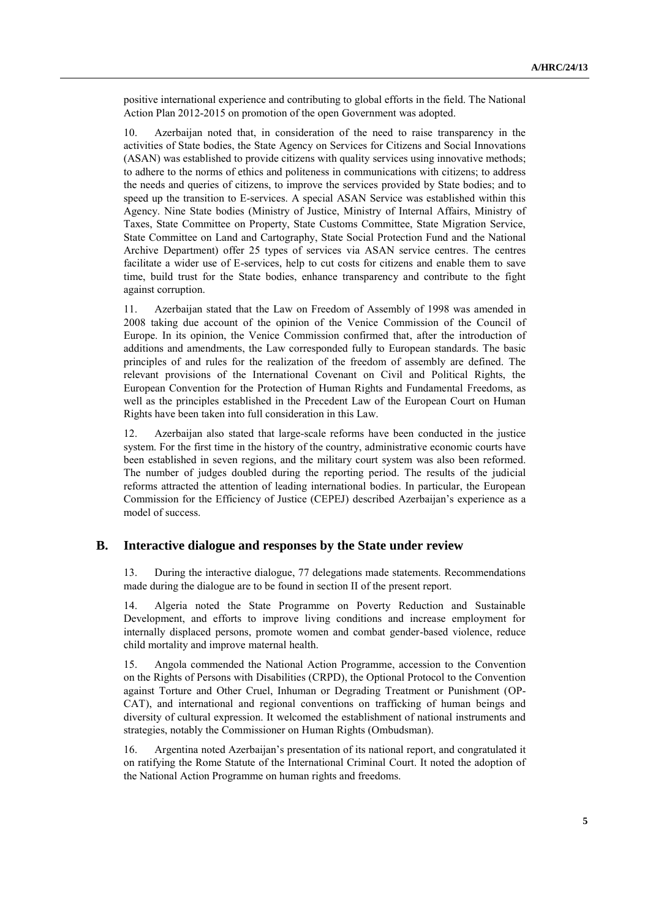positive international experience and contributing to global efforts in the field. The National Action Plan 2012-2015 on promotion of the open Government was adopted.

10. Azerbaijan noted that, in consideration of the need to raise transparency in the activities of State bodies, the State Agency on Services for Citizens and Social Innovations (ASAN) was established to provide citizens with quality services using innovative methods; to adhere to the norms of ethics and politeness in communications with citizens; to address the needs and queries of citizens, to improve the services provided by State bodies; and to speed up the transition to E-services. A special ASAN Service was established within this Agency. Nine State bodies (Ministry of Justice, Ministry of Internal Affairs, Ministry of Taxes, State Committee on Property, State Customs Committee, State Migration Service, State Committee on Land and Cartography, State Social Protection Fund and the National Archive Department) offer 25 types of services via ASAN service centres. The centres facilitate a wider use of E-services, help to cut costs for citizens and enable them to save time, build trust for the State bodies, enhance transparency and contribute to the fight against corruption.

11. Azerbaijan stated that the Law on Freedom of Assembly of 1998 was amended in 2008 taking due account of the opinion of the Venice Commission of the Council of Europe. In its opinion, the Venice Commission confirmed that, after the introduction of additions and amendments, the Law corresponded fully to European standards. The basic principles of and rules for the realization of the freedom of assembly are defined. The relevant provisions of the International Covenant on Civil and Political Rights, the European Convention for the Protection of Human Rights and Fundamental Freedoms, as well as the principles established in the Precedent Law of the European Court on Human Rights have been taken into full consideration in this Law.

12. Azerbaijan also stated that large-scale reforms have been conducted in the justice system. For the first time in the history of the country, administrative economic courts have been established in seven regions, and the military court system was also been reformed. The number of judges doubled during the reporting period. The results of the judicial reforms attracted the attention of leading international bodies. In particular, the European Commission for the Efficiency of Justice (CEPEJ) described Azerbaijan's experience as a model of success.

## **B. Interactive dialogue and responses by the State under review**

13. During the interactive dialogue, 77 delegations made statements. Recommendations made during the dialogue are to be found in section II of the present report.

14. Algeria noted the State Programme on Poverty Reduction and Sustainable Development, and efforts to improve living conditions and increase employment for internally displaced persons, promote women and combat gender-based violence, reduce child mortality and improve maternal health.

15. Angola commended the National Action Programme, accession to the Convention on the Rights of Persons with Disabilities (CRPD), the Optional Protocol to the Convention against Torture and Other Cruel, Inhuman or Degrading Treatment or Punishment (OP-CAT), and international and regional conventions on trafficking of human beings and diversity of cultural expression. It welcomed the establishment of national instruments and strategies, notably the Commissioner on Human Rights (Ombudsman).

16. Argentina noted Azerbaijan's presentation of its national report, and congratulated it on ratifying the Rome Statute of the International Criminal Court. It noted the adoption of the National Action Programme on human rights and freedoms.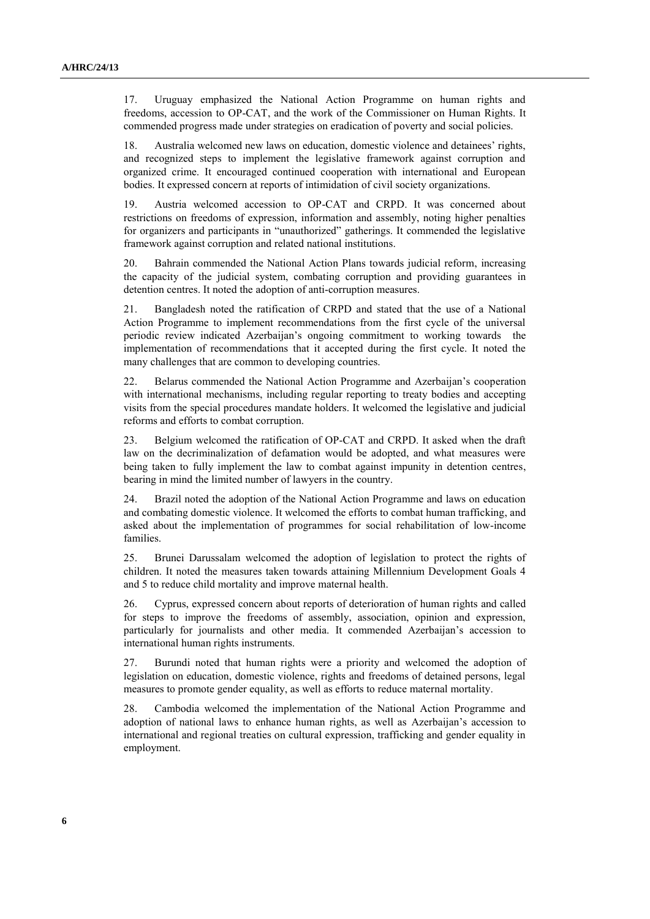17. Uruguay emphasized the National Action Programme on human rights and freedoms, accession to OP-CAT, and the work of the Commissioner on Human Rights. It commended progress made under strategies on eradication of poverty and social policies.

18. Australia welcomed new laws on education, domestic violence and detainees' rights, and recognized steps to implement the legislative framework against corruption and organized crime. It encouraged continued cooperation with international and European bodies. It expressed concern at reports of intimidation of civil society organizations.

19. Austria welcomed accession to OP-CAT and CRPD. It was concerned about restrictions on freedoms of expression, information and assembly, noting higher penalties for organizers and participants in "unauthorized" gatherings. It commended the legislative framework against corruption and related national institutions.

20. Bahrain commended the National Action Plans towards judicial reform, increasing the capacity of the judicial system, combating corruption and providing guarantees in detention centres. It noted the adoption of anti-corruption measures.

21. Bangladesh noted the ratification of CRPD and stated that the use of a National Action Programme to implement recommendations from the first cycle of the universal periodic review indicated Azerbaijan's ongoing commitment to working towards the implementation of recommendations that it accepted during the first cycle. It noted the many challenges that are common to developing countries.

22. Belarus commended the National Action Programme and Azerbaijan's cooperation with international mechanisms, including regular reporting to treaty bodies and accepting visits from the special procedures mandate holders. It welcomed the legislative and judicial reforms and efforts to combat corruption.

23. Belgium welcomed the ratification of OP-CAT and CRPD. It asked when the draft law on the decriminalization of defamation would be adopted, and what measures were being taken to fully implement the law to combat against impunity in detention centres, bearing in mind the limited number of lawyers in the country.

24. Brazil noted the adoption of the National Action Programme and laws on education and combating domestic violence. It welcomed the efforts to combat human trafficking, and asked about the implementation of programmes for social rehabilitation of low-income families.

25. Brunei Darussalam welcomed the adoption of legislation to protect the rights of children. It noted the measures taken towards attaining Millennium Development Goals 4 and 5 to reduce child mortality and improve maternal health.

26. Cyprus, expressed concern about reports of deterioration of human rights and called for steps to improve the freedoms of assembly, association, opinion and expression, particularly for journalists and other media. It commended Azerbaijan's accession to international human rights instruments.

27. Burundi noted that human rights were a priority and welcomed the adoption of legislation on education, domestic violence, rights and freedoms of detained persons, legal measures to promote gender equality, as well as efforts to reduce maternal mortality.

28. Cambodia welcomed the implementation of the National Action Programme and adoption of national laws to enhance human rights, as well as Azerbaijan's accession to international and regional treaties on cultural expression, trafficking and gender equality in employment.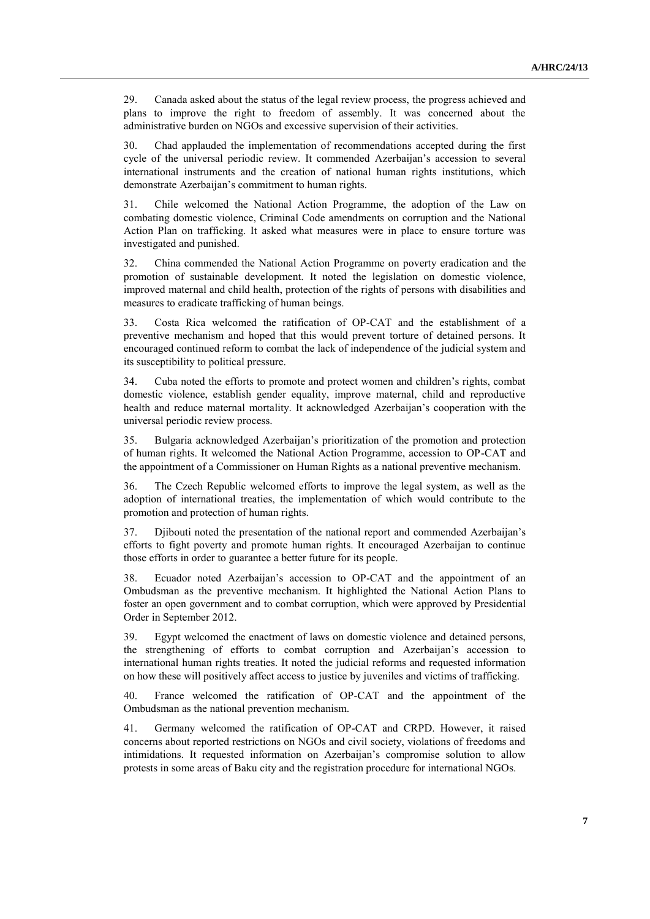29. Canada asked about the status of the legal review process, the progress achieved and plans to improve the right to freedom of assembly. It was concerned about the administrative burden on NGOs and excessive supervision of their activities.

30. Chad applauded the implementation of recommendations accepted during the first cycle of the universal periodic review. It commended Azerbaijan's accession to several international instruments and the creation of national human rights institutions, which demonstrate Azerbaijan's commitment to human rights.

31. Chile welcomed the National Action Programme, the adoption of the Law on combating domestic violence, Criminal Code amendments on corruption and the National Action Plan on trafficking. It asked what measures were in place to ensure torture was investigated and punished.

32. China commended the National Action Programme on poverty eradication and the promotion of sustainable development. It noted the legislation on domestic violence, improved maternal and child health, protection of the rights of persons with disabilities and measures to eradicate trafficking of human beings.

33. Costa Rica welcomed the ratification of OP-CAT and the establishment of a preventive mechanism and hoped that this would prevent torture of detained persons. It encouraged continued reform to combat the lack of independence of the judicial system and its susceptibility to political pressure.

34. Cuba noted the efforts to promote and protect women and children's rights, combat domestic violence, establish gender equality, improve maternal, child and reproductive health and reduce maternal mortality. It acknowledged Azerbaijan's cooperation with the universal periodic review process.

35. Bulgaria acknowledged Azerbaijan's prioritization of the promotion and protection of human rights. It welcomed the National Action Programme, accession to OP-CAT and the appointment of a Commissioner on Human Rights as a national preventive mechanism.

36. The Czech Republic welcomed efforts to improve the legal system, as well as the adoption of international treaties, the implementation of which would contribute to the promotion and protection of human rights.

37. Djibouti noted the presentation of the national report and commended Azerbaijan's efforts to fight poverty and promote human rights. It encouraged Azerbaijan to continue those efforts in order to guarantee a better future for its people.

38. Ecuador noted Azerbaijan's accession to OP-CAT and the appointment of an Ombudsman as the preventive mechanism. It highlighted the National Action Plans to foster an open government and to combat corruption, which were approved by Presidential Order in September 2012.

39. Egypt welcomed the enactment of laws on domestic violence and detained persons, the strengthening of efforts to combat corruption and Azerbaijan's accession to international human rights treaties. It noted the judicial reforms and requested information on how these will positively affect access to justice by juveniles and victims of trafficking.

40. France welcomed the ratification of OP-CAT and the appointment of the Ombudsman as the national prevention mechanism.

41. Germany welcomed the ratification of OP-CAT and CRPD. However, it raised concerns about reported restrictions on NGOs and civil society, violations of freedoms and intimidations. It requested information on Azerbaijan's compromise solution to allow protests in some areas of Baku city and the registration procedure for international NGOs.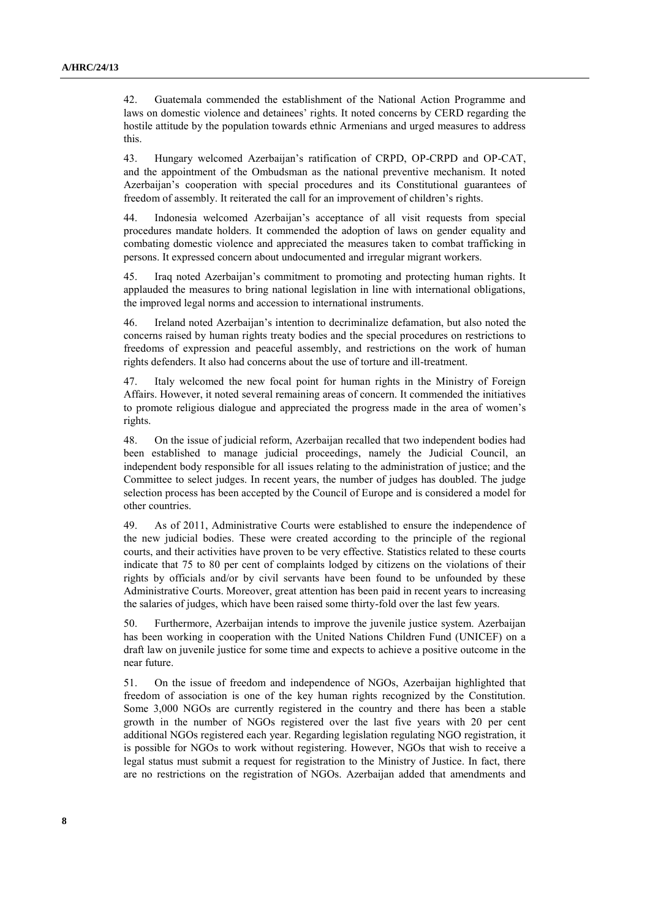42. Guatemala commended the establishment of the National Action Programme and laws on domestic violence and detainees' rights. It noted concerns by CERD regarding the hostile attitude by the population towards ethnic Armenians and urged measures to address this.

43. Hungary welcomed Azerbaijan's ratification of CRPD, OP-CRPD and OP-CAT, and the appointment of the Ombudsman as the national preventive mechanism. It noted Azerbaijan's cooperation with special procedures and its Constitutional guarantees of freedom of assembly. It reiterated the call for an improvement of children's rights.

44. Indonesia welcomed Azerbaijan's acceptance of all visit requests from special procedures mandate holders. It commended the adoption of laws on gender equality and combating domestic violence and appreciated the measures taken to combat trafficking in persons. It expressed concern about undocumented and irregular migrant workers.

45. Iraq noted Azerbaijan's commitment to promoting and protecting human rights. It applauded the measures to bring national legislation in line with international obligations, the improved legal norms and accession to international instruments.

46. Ireland noted Azerbaijan's intention to decriminalize defamation, but also noted the concerns raised by human rights treaty bodies and the special procedures on restrictions to freedoms of expression and peaceful assembly, and restrictions on the work of human rights defenders. It also had concerns about the use of torture and ill-treatment.

47. Italy welcomed the new focal point for human rights in the Ministry of Foreign Affairs. However, it noted several remaining areas of concern. It commended the initiatives to promote religious dialogue and appreciated the progress made in the area of women's rights.

48. On the issue of judicial reform, Azerbaijan recalled that two independent bodies had been established to manage judicial proceedings, namely the Judicial Council, an independent body responsible for all issues relating to the administration of justice; and the Committee to select judges. In recent years, the number of judges has doubled. The judge selection process has been accepted by the Council of Europe and is considered a model for other countries.

49. As of 2011, Administrative Courts were established to ensure the independence of the new judicial bodies. These were created according to the principle of the regional courts, and their activities have proven to be very effective. Statistics related to these courts indicate that 75 to 80 per cent of complaints lodged by citizens on the violations of their rights by officials and/or by civil servants have been found to be unfounded by these Administrative Courts. Moreover, great attention has been paid in recent years to increasing the salaries of judges, which have been raised some thirty-fold over the last few years.

50. Furthermore, Azerbaijan intends to improve the juvenile justice system. Azerbaijan has been working in cooperation with the United Nations Children Fund (UNICEF) on a draft law on juvenile justice for some time and expects to achieve a positive outcome in the near future.

51. On the issue of freedom and independence of NGOs, Azerbaijan highlighted that freedom of association is one of the key human rights recognized by the Constitution. Some 3,000 NGOs are currently registered in the country and there has been a stable growth in the number of NGOs registered over the last five years with 20 per cent additional NGOs registered each year. Regarding legislation regulating NGO registration, it is possible for NGOs to work without registering. However, NGOs that wish to receive a legal status must submit a request for registration to the Ministry of Justice. In fact, there are no restrictions on the registration of NGOs. Azerbaijan added that amendments and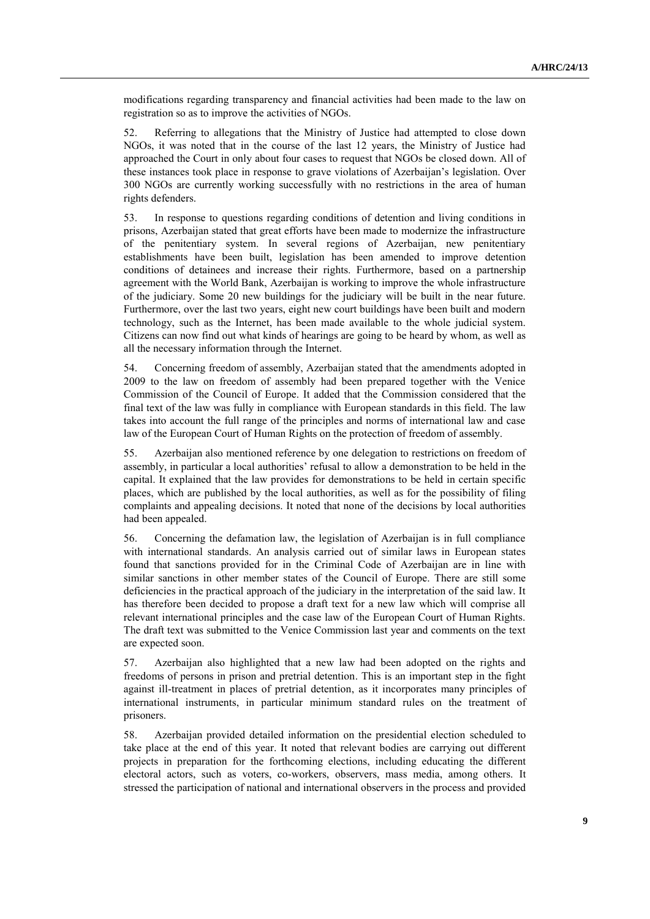modifications regarding transparency and financial activities had been made to the law on registration so as to improve the activities of NGOs.

52. Referring to allegations that the Ministry of Justice had attempted to close down NGOs, it was noted that in the course of the last 12 years, the Ministry of Justice had approached the Court in only about four cases to request that NGOs be closed down. All of these instances took place in response to grave violations of Azerbaijan's legislation. Over 300 NGOs are currently working successfully with no restrictions in the area of human rights defenders.

53. In response to questions regarding conditions of detention and living conditions in prisons, Azerbaijan stated that great efforts have been made to modernize the infrastructure of the penitentiary system. In several regions of Azerbaijan, new penitentiary establishments have been built, legislation has been amended to improve detention conditions of detainees and increase their rights. Furthermore, based on a partnership agreement with the World Bank, Azerbaijan is working to improve the whole infrastructure of the judiciary. Some 20 new buildings for the judiciary will be built in the near future. Furthermore, over the last two years, eight new court buildings have been built and modern technology, such as the Internet, has been made available to the whole judicial system. Citizens can now find out what kinds of hearings are going to be heard by whom, as well as all the necessary information through the Internet.

54. Concerning freedom of assembly, Azerbaijan stated that the amendments adopted in 2009 to the law on freedom of assembly had been prepared together with the Venice Commission of the Council of Europe. It added that the Commission considered that the final text of the law was fully in compliance with European standards in this field. The law takes into account the full range of the principles and norms of international law and case law of the European Court of Human Rights on the protection of freedom of assembly.

55. Azerbaijan also mentioned reference by one delegation to restrictions on freedom of assembly, in particular a local authorities' refusal to allow a demonstration to be held in the capital. It explained that the law provides for demonstrations to be held in certain specific places, which are published by the local authorities, as well as for the possibility of filing complaints and appealing decisions. It noted that none of the decisions by local authorities had been appealed.

56. Concerning the defamation law, the legislation of Azerbaijan is in full compliance with international standards. An analysis carried out of similar laws in European states found that sanctions provided for in the Criminal Code of Azerbaijan are in line with similar sanctions in other member states of the Council of Europe. There are still some deficiencies in the practical approach of the judiciary in the interpretation of the said law. It has therefore been decided to propose a draft text for a new law which will comprise all relevant international principles and the case law of the European Court of Human Rights. The draft text was submitted to the Venice Commission last year and comments on the text are expected soon.

57. Azerbaijan also highlighted that a new law had been adopted on the rights and freedoms of persons in prison and pretrial detention. This is an important step in the fight against ill-treatment in places of pretrial detention, as it incorporates many principles of international instruments, in particular minimum standard rules on the treatment of prisoners.

58. Azerbaijan provided detailed information on the presidential election scheduled to take place at the end of this year. It noted that relevant bodies are carrying out different projects in preparation for the forthcoming elections, including educating the different electoral actors, such as voters, co-workers, observers, mass media, among others. It stressed the participation of national and international observers in the process and provided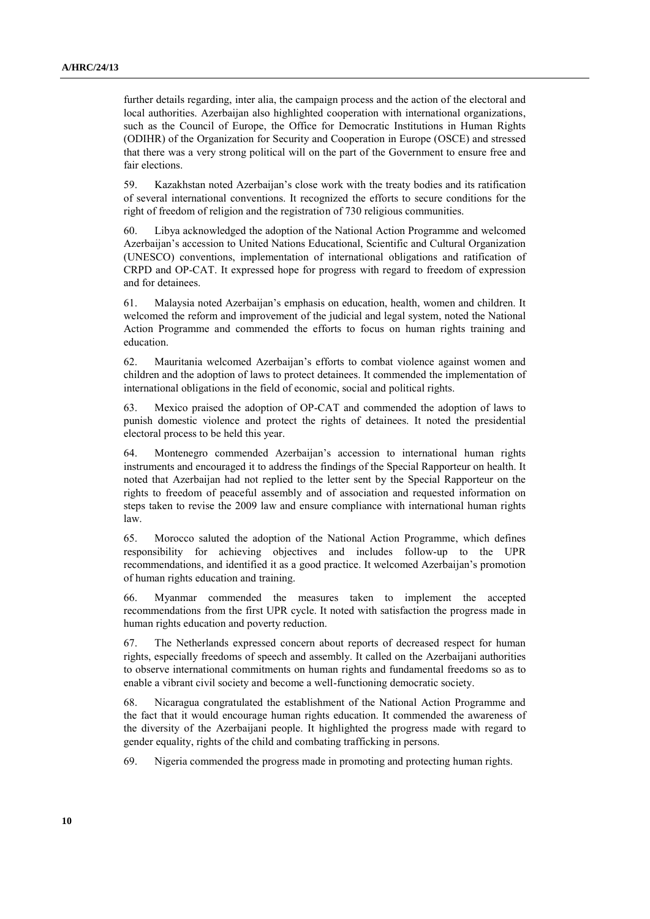further details regarding, inter alia, the campaign process and the action of the electoral and local authorities. Azerbaijan also highlighted cooperation with international organizations, such as the Council of Europe, the Office for Democratic Institutions in Human Rights (ODIHR) of the Organization for Security and Cooperation in Europe (OSCE) and stressed that there was a very strong political will on the part of the Government to ensure free and fair elections.

59. Kazakhstan noted Azerbaijan's close work with the treaty bodies and its ratification of several international conventions. It recognized the efforts to secure conditions for the right of freedom of religion and the registration of 730 religious communities.

60. Libya acknowledged the adoption of the National Action Programme and welcomed Azerbaijan's accession to United Nations Educational, Scientific and Cultural Organization (UNESCO) conventions, implementation of international obligations and ratification of CRPD and OP-CAT. It expressed hope for progress with regard to freedom of expression and for detainees.

61. Malaysia noted Azerbaijan's emphasis on education, health, women and children. It welcomed the reform and improvement of the judicial and legal system, noted the National Action Programme and commended the efforts to focus on human rights training and education.

62. Mauritania welcomed Azerbaijan's efforts to combat violence against women and children and the adoption of laws to protect detainees. It commended the implementation of international obligations in the field of economic, social and political rights.

63. Mexico praised the adoption of OP-CAT and commended the adoption of laws to punish domestic violence and protect the rights of detainees. It noted the presidential electoral process to be held this year.

64. Montenegro commended Azerbaijan's accession to international human rights instruments and encouraged it to address the findings of the Special Rapporteur on health. It noted that Azerbaijan had not replied to the letter sent by the Special Rapporteur on the rights to freedom of peaceful assembly and of association and requested information on steps taken to revise the 2009 law and ensure compliance with international human rights law.

65. Morocco saluted the adoption of the National Action Programme, which defines responsibility for achieving objectives and includes follow-up to the UPR recommendations, and identified it as a good practice. It welcomed Azerbaijan's promotion of human rights education and training.

66. Myanmar commended the measures taken to implement the accepted recommendations from the first UPR cycle. It noted with satisfaction the progress made in human rights education and poverty reduction.

67. The Netherlands expressed concern about reports of decreased respect for human rights, especially freedoms of speech and assembly. It called on the Azerbaijani authorities to observe international commitments on human rights and fundamental freedoms so as to enable a vibrant civil society and become a well-functioning democratic society.

68. Nicaragua congratulated the establishment of the National Action Programme and the fact that it would encourage human rights education. It commended the awareness of the diversity of the Azerbaijani people. It highlighted the progress made with regard to gender equality, rights of the child and combating trafficking in persons.

69. Nigeria commended the progress made in promoting and protecting human rights.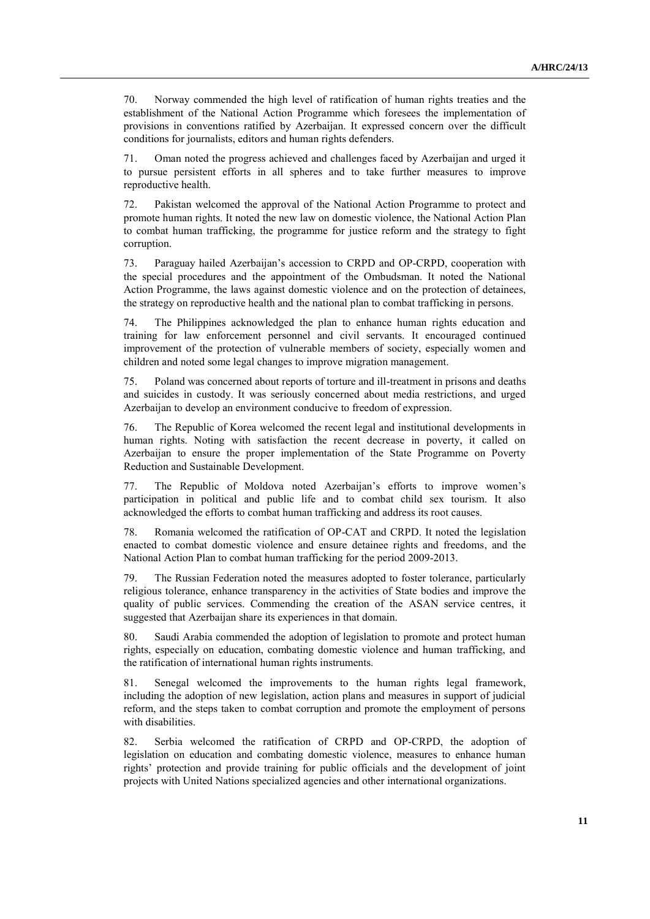70. Norway commended the high level of ratification of human rights treaties and the establishment of the National Action Programme which foresees the implementation of provisions in conventions ratified by Azerbaijan. It expressed concern over the difficult conditions for journalists, editors and human rights defenders.

71. Oman noted the progress achieved and challenges faced by Azerbaijan and urged it to pursue persistent efforts in all spheres and to take further measures to improve reproductive health.

72. Pakistan welcomed the approval of the National Action Programme to protect and promote human rights. It noted the new law on domestic violence, the National Action Plan to combat human trafficking, the programme for justice reform and the strategy to fight corruption.

73. Paraguay hailed Azerbaijan's accession to CRPD and OP-CRPD, cooperation with the special procedures and the appointment of the Ombudsman. It noted the National Action Programme, the laws against domestic violence and on the protection of detainees, the strategy on reproductive health and the national plan to combat trafficking in persons.

74. The Philippines acknowledged the plan to enhance human rights education and training for law enforcement personnel and civil servants. It encouraged continued improvement of the protection of vulnerable members of society, especially women and children and noted some legal changes to improve migration management.

75. Poland was concerned about reports of torture and ill-treatment in prisons and deaths and suicides in custody. It was seriously concerned about media restrictions, and urged Azerbaijan to develop an environment conducive to freedom of expression.

76. The Republic of Korea welcomed the recent legal and institutional developments in human rights. Noting with satisfaction the recent decrease in poverty, it called on Azerbaijan to ensure the proper implementation of the State Programme on Poverty Reduction and Sustainable Development.

77. The Republic of Moldova noted Azerbaijan's efforts to improve women's participation in political and public life and to combat child sex tourism. It also acknowledged the efforts to combat human trafficking and address its root causes.

78. Romania welcomed the ratification of OP-CAT and CRPD. It noted the legislation enacted to combat domestic violence and ensure detainee rights and freedoms, and the National Action Plan to combat human trafficking for the period 2009-2013.

79. The Russian Federation noted the measures adopted to foster tolerance, particularly religious tolerance, enhance transparency in the activities of State bodies and improve the quality of public services. Commending the creation of the ASAN service centres, it suggested that Azerbaijan share its experiences in that domain.

80. Saudi Arabia commended the adoption of legislation to promote and protect human rights, especially on education, combating domestic violence and human trafficking, and the ratification of international human rights instruments.

81. Senegal welcomed the improvements to the human rights legal framework, including the adoption of new legislation, action plans and measures in support of judicial reform, and the steps taken to combat corruption and promote the employment of persons with disabilities.

82. Serbia welcomed the ratification of CRPD and OP-CRPD, the adoption of legislation on education and combating domestic violence, measures to enhance human rights' protection and provide training for public officials and the development of joint projects with United Nations specialized agencies and other international organizations.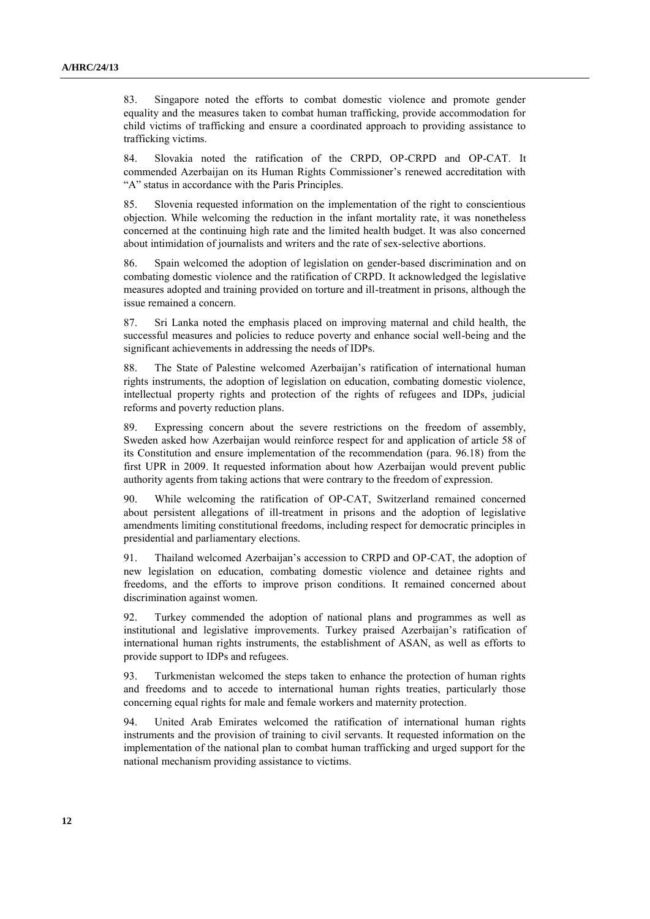83. Singapore noted the efforts to combat domestic violence and promote gender equality and the measures taken to combat human trafficking, provide accommodation for child victims of trafficking and ensure a coordinated approach to providing assistance to trafficking victims.

84. Slovakia noted the ratification of the CRPD, OP-CRPD and OP-CAT. It commended Azerbaijan on its Human Rights Commissioner's renewed accreditation with "A" status in accordance with the Paris Principles.

85. Slovenia requested information on the implementation of the right to conscientious objection. While welcoming the reduction in the infant mortality rate, it was nonetheless concerned at the continuing high rate and the limited health budget. It was also concerned about intimidation of journalists and writers and the rate of sex-selective abortions.

86. Spain welcomed the adoption of legislation on gender-based discrimination and on combating domestic violence and the ratification of CRPD. It acknowledged the legislative measures adopted and training provided on torture and ill-treatment in prisons, although the issue remained a concern.

87. Sri Lanka noted the emphasis placed on improving maternal and child health, the successful measures and policies to reduce poverty and enhance social well-being and the significant achievements in addressing the needs of IDPs.

88. The State of Palestine welcomed Azerbaijan's ratification of international human rights instruments, the adoption of legislation on education, combating domestic violence, intellectual property rights and protection of the rights of refugees and IDPs, judicial reforms and poverty reduction plans.

89. Expressing concern about the severe restrictions on the freedom of assembly, Sweden asked how Azerbaijan would reinforce respect for and application of article 58 of its Constitution and ensure implementation of the recommendation (para. 96.18) from the first UPR in 2009. It requested information about how Azerbaijan would prevent public authority agents from taking actions that were contrary to the freedom of expression.

90. While welcoming the ratification of OP-CAT, Switzerland remained concerned about persistent allegations of ill-treatment in prisons and the adoption of legislative amendments limiting constitutional freedoms, including respect for democratic principles in presidential and parliamentary elections.

91. Thailand welcomed Azerbaijan's accession to CRPD and OP-CAT, the adoption of new legislation on education, combating domestic violence and detainee rights and freedoms, and the efforts to improve prison conditions. It remained concerned about discrimination against women.

92. Turkey commended the adoption of national plans and programmes as well as institutional and legislative improvements. Turkey praised Azerbaijan's ratification of international human rights instruments, the establishment of ASAN, as well as efforts to provide support to IDPs and refugees.

93. Turkmenistan welcomed the steps taken to enhance the protection of human rights and freedoms and to accede to international human rights treaties, particularly those concerning equal rights for male and female workers and maternity protection.

94. United Arab Emirates welcomed the ratification of international human rights instruments and the provision of training to civil servants. It requested information on the implementation of the national plan to combat human trafficking and urged support for the national mechanism providing assistance to victims.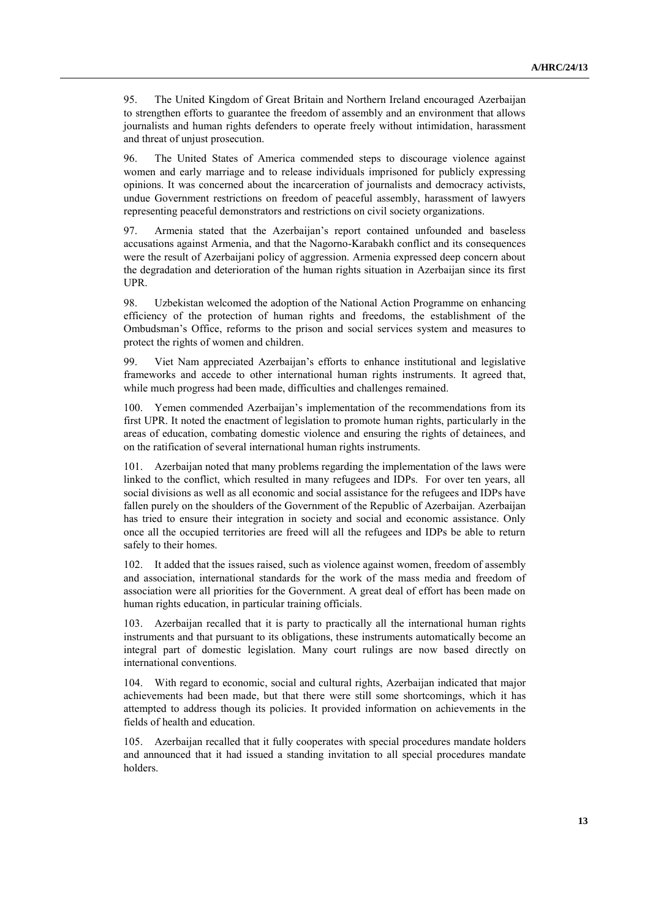95. The United Kingdom of Great Britain and Northern Ireland encouraged Azerbaijan to strengthen efforts to guarantee the freedom of assembly and an environment that allows journalists and human rights defenders to operate freely without intimidation, harassment and threat of unjust prosecution.

96. The United States of America commended steps to discourage violence against women and early marriage and to release individuals imprisoned for publicly expressing opinions. It was concerned about the incarceration of journalists and democracy activists, undue Government restrictions on freedom of peaceful assembly, harassment of lawyers representing peaceful demonstrators and restrictions on civil society organizations.

97. Armenia stated that the Azerbaijan's report contained unfounded and baseless accusations against Armenia, and that the Nagorno-Karabakh conflict and its consequences were the result of Azerbaijani policy of aggression. Armenia expressed deep concern about the degradation and deterioration of the human rights situation in Azerbaijan since its first UPR.

98. Uzbekistan welcomed the adoption of the National Action Programme on enhancing efficiency of the protection of human rights and freedoms, the establishment of the Ombudsman's Office, reforms to the prison and social services system and measures to protect the rights of women and children.

99. Viet Nam appreciated Azerbaijan's efforts to enhance institutional and legislative frameworks and accede to other international human rights instruments. It agreed that, while much progress had been made, difficulties and challenges remained.

100. Yemen commended Azerbaijan's implementation of the recommendations from its first UPR. It noted the enactment of legislation to promote human rights, particularly in the areas of education, combating domestic violence and ensuring the rights of detainees, and on the ratification of several international human rights instruments.

101. Azerbaijan noted that many problems regarding the implementation of the laws were linked to the conflict, which resulted in many refugees and IDPs. For over ten years, all social divisions as well as all economic and social assistance for the refugees and IDPs have fallen purely on the shoulders of the Government of the Republic of Azerbaijan. Azerbaijan has tried to ensure their integration in society and social and economic assistance. Only once all the occupied territories are freed will all the refugees and IDPs be able to return safely to their homes.

102. It added that the issues raised, such as violence against women, freedom of assembly and association, international standards for the work of the mass media and freedom of association were all priorities for the Government. A great deal of effort has been made on human rights education, in particular training officials.

Azerbaijan recalled that it is party to practically all the international human rights instruments and that pursuant to its obligations, these instruments automatically become an integral part of domestic legislation. Many court rulings are now based directly on international conventions.

104. With regard to economic, social and cultural rights, Azerbaijan indicated that major achievements had been made, but that there were still some shortcomings, which it has attempted to address though its policies. It provided information on achievements in the fields of health and education.

105. Azerbaijan recalled that it fully cooperates with special procedures mandate holders and announced that it had issued a standing invitation to all special procedures mandate holders.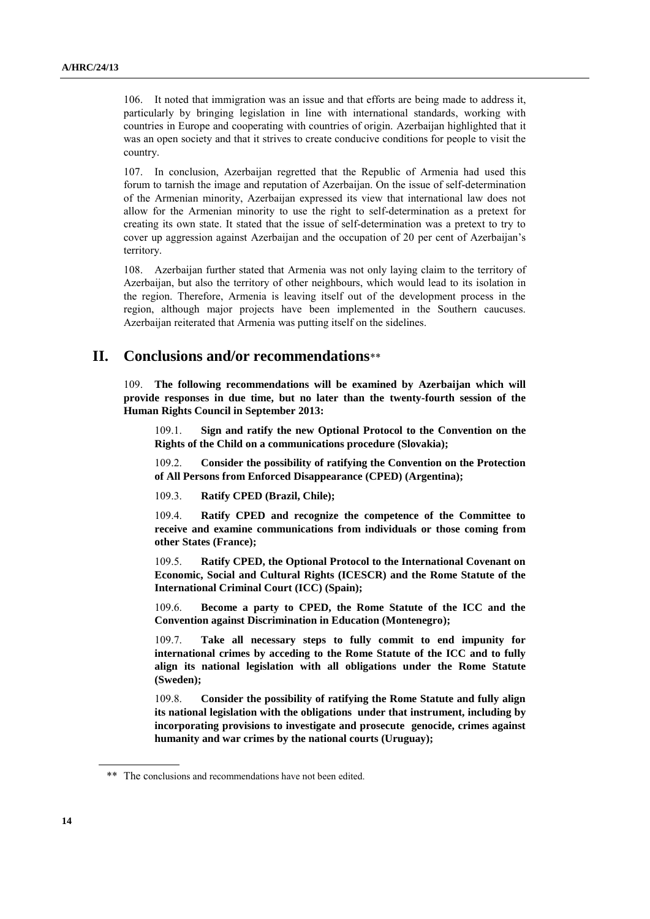106. It noted that immigration was an issue and that efforts are being made to address it, particularly by bringing legislation in line with international standards, working with countries in Europe and cooperating with countries of origin. Azerbaijan highlighted that it was an open society and that it strives to create conducive conditions for people to visit the country.

107. In conclusion, Azerbaijan regretted that the Republic of Armenia had used this forum to tarnish the image and reputation of Azerbaijan. On the issue of self-determination of the Armenian minority, Azerbaijan expressed its view that international law does not allow for the Armenian minority to use the right to self-determination as a pretext for creating its own state. It stated that the issue of self-determination was a pretext to try to cover up aggression against Azerbaijan and the occupation of 20 per cent of Azerbaijan's territory.

108. Azerbaijan further stated that Armenia was not only laying claim to the territory of Azerbaijan, but also the territory of other neighbours, which would lead to its isolation in the region. Therefore, Armenia is leaving itself out of the development process in the region, although major projects have been implemented in the Southern caucuses. Azerbaijan reiterated that Armenia was putting itself on the sidelines.

# **II. Conclusions and/or recommendations**\*\*

109. **The following recommendations will be examined by Azerbaijan which will provide responses in due time, but no later than the twenty-fourth session of the Human Rights Council in September 2013:**

109.1. **Sign and ratify the new Optional Protocol to the Convention on the Rights of the Child on a communications procedure (Slovakia);**

109.2. **Consider the possibility of ratifying the Convention on the Protection of All Persons from Enforced Disappearance (CPED) (Argentina);**

109.3. **Ratify CPED (Brazil, Chile);**

109.4. **Ratify CPED and recognize the competence of the Committee to receive and examine communications from individuals or those coming from other States (France);**

109.5. **Ratify CPED, the Optional Protocol to the International Covenant on Economic, Social and Cultural Rights (ICESCR) and the Rome Statute of the International Criminal Court (ICC) (Spain);**

109.6. **Become a party to CPED, the Rome Statute of the ICC and the Convention against Discrimination in Education (Montenegro);**

109.7. **Take all necessary steps to fully commit to end impunity for international crimes by acceding to the Rome Statute of the ICC and to fully align its national legislation with all obligations under the Rome Statute (Sweden);**

109.8. **Consider the possibility of ratifying the Rome Statute and fully align its national legislation with the obligations under that instrument, including by incorporating provisions to investigate and prosecute genocide, crimes against humanity and war crimes by the national courts (Uruguay);**

<sup>\*\*</sup> The conclusions and recommendations have not been edited.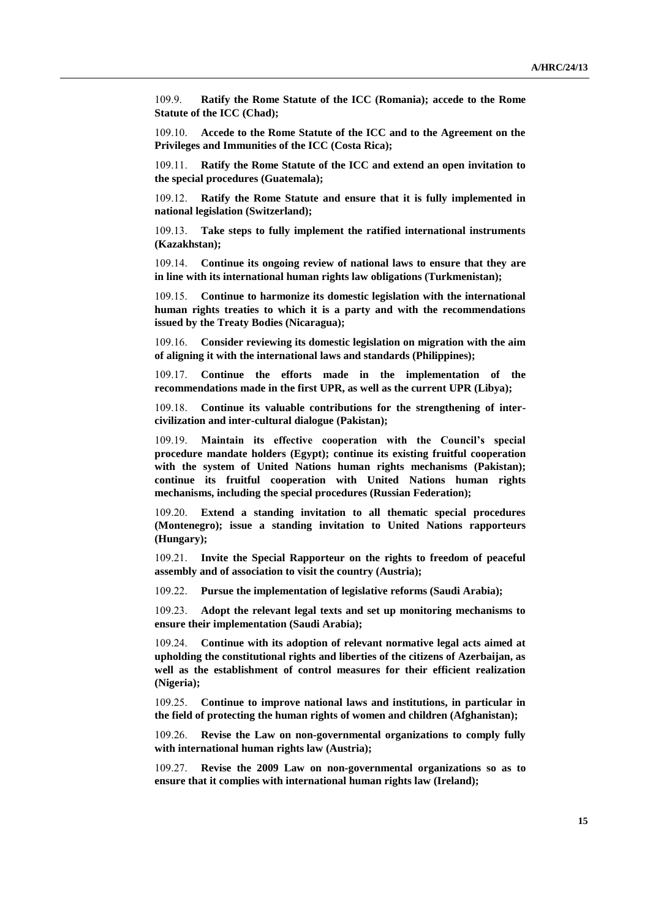109.9. **Ratify the Rome Statute of the ICC (Romania); accede to the Rome Statute of the ICC (Chad);**

109.10. **Accede to the Rome Statute of the ICC and to the Agreement on the Privileges and Immunities of the ICC (Costa Rica);**

109.11. **Ratify the Rome Statute of the ICC and extend an open invitation to the special procedures (Guatemala);**

109.12. **Ratify the Rome Statute and ensure that it is fully implemented in national legislation (Switzerland);**

109.13. **Take steps to fully implement the ratified international instruments (Kazakhstan);**

109.14. **Continue its ongoing review of national laws to ensure that they are in line with its international human rights law obligations (Turkmenistan);**

109.15. **Continue to harmonize its domestic legislation with the international human rights treaties to which it is a party and with the recommendations issued by the Treaty Bodies (Nicaragua);**

109.16. **Consider reviewing its domestic legislation on migration with the aim of aligning it with the international laws and standards (Philippines);**

109.17. **Continue the efforts made in the implementation of the recommendations made in the first UPR, as well as the current UPR (Libya);**

109.18. **Continue its valuable contributions for the strengthening of intercivilization and inter-cultural dialogue (Pakistan);**

109.19. **Maintain its effective cooperation with the Council's special procedure mandate holders (Egypt); continue its existing fruitful cooperation with the system of United Nations human rights mechanisms (Pakistan); continue its fruitful cooperation with United Nations human rights mechanisms, including the special procedures (Russian Federation);**

109.20. **Extend a standing invitation to all thematic special procedures (Montenegro); issue a standing invitation to United Nations rapporteurs (Hungary);**

109.21. **Invite the Special Rapporteur on the rights to freedom of peaceful assembly and of association to visit the country (Austria);**

109.22. **Pursue the implementation of legislative reforms (Saudi Arabia);**

109.23. **Adopt the relevant legal texts and set up monitoring mechanisms to ensure their implementation (Saudi Arabia);**

109.24. **Continue with its adoption of relevant normative legal acts aimed at upholding the constitutional rights and liberties of the citizens of Azerbaijan, as well as the establishment of control measures for their efficient realization (Nigeria);**

109.25. **Continue to improve national laws and institutions, in particular in the field of protecting the human rights of women and children (Afghanistan);**

109.26. **Revise the Law on non-governmental organizations to comply fully with international human rights law (Austria);**

109.27. **Revise the 2009 Law on non-governmental organizations so as to ensure that it complies with international human rights law (Ireland);**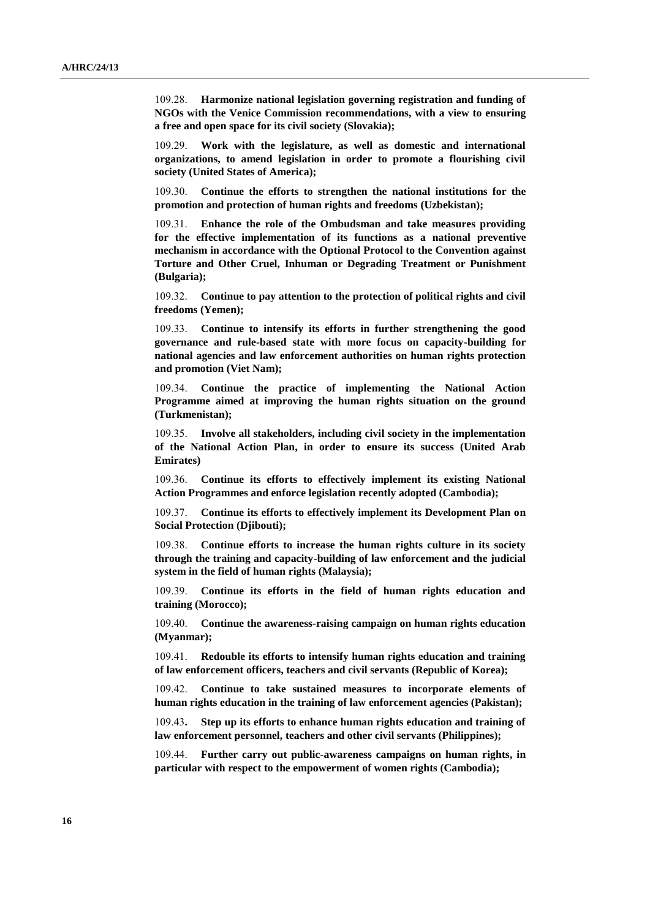109.28. **Harmonize national legislation governing registration and funding of NGOs with the Venice Commission recommendations, with a view to ensuring a free and open space for its civil society (Slovakia);** 

109.29. **Work with the legislature, as well as domestic and international organizations, to amend legislation in order to promote a flourishing civil society (United States of America);**

109.30. **Continue the efforts to strengthen the national institutions for the promotion and protection of human rights and freedoms (Uzbekistan);**

109.31. **Enhance the role of the Ombudsman and take measures providing for the effective implementation of its functions as a national preventive mechanism in accordance with the Optional Protocol to the Convention against Torture and Other Cruel, Inhuman or Degrading Treatment or Punishment (Bulgaria);**

109.32. **Continue to pay attention to the protection of political rights and civil freedoms (Yemen);**

109.33. **Continue to intensify its efforts in further strengthening the good governance and rule-based state with more focus on capacity-building for national agencies and law enforcement authorities on human rights protection and promotion (Viet Nam);**

109.34. **Continue the practice of implementing the National Action Programme aimed at improving the human rights situation on the ground (Turkmenistan);**

109.35. **Involve all stakeholders, including civil society in the implementation of the National Action Plan, in order to ensure its success (United Arab Emirates)** 

109.36. **Continue its efforts to effectively implement its existing National Action Programmes and enforce legislation recently adopted (Cambodia);**

109.37. **Continue its efforts to effectively implement its Development Plan on Social Protection (Djibouti);**

109.38. **Continue efforts to increase the human rights culture in its society through the training and capacity-building of law enforcement and the judicial system in the field of human rights (Malaysia);**

109.39. **Continue its efforts in the field of human rights education and training (Morocco);**

109.40. **Continue the awareness-raising campaign on human rights education (Myanmar);**

109.41. **Redouble its efforts to intensify human rights education and training of law enforcement officers, teachers and civil servants (Republic of Korea);**

109.42. **Continue to take sustained measures to incorporate elements of human rights education in the training of law enforcement agencies (Pakistan);**

109.43**. Step up its efforts to enhance human rights education and training of law enforcement personnel, teachers and other civil servants (Philippines);**

109.44. **Further carry out public-awareness campaigns on human rights, in particular with respect to the empowerment of women rights (Cambodia);**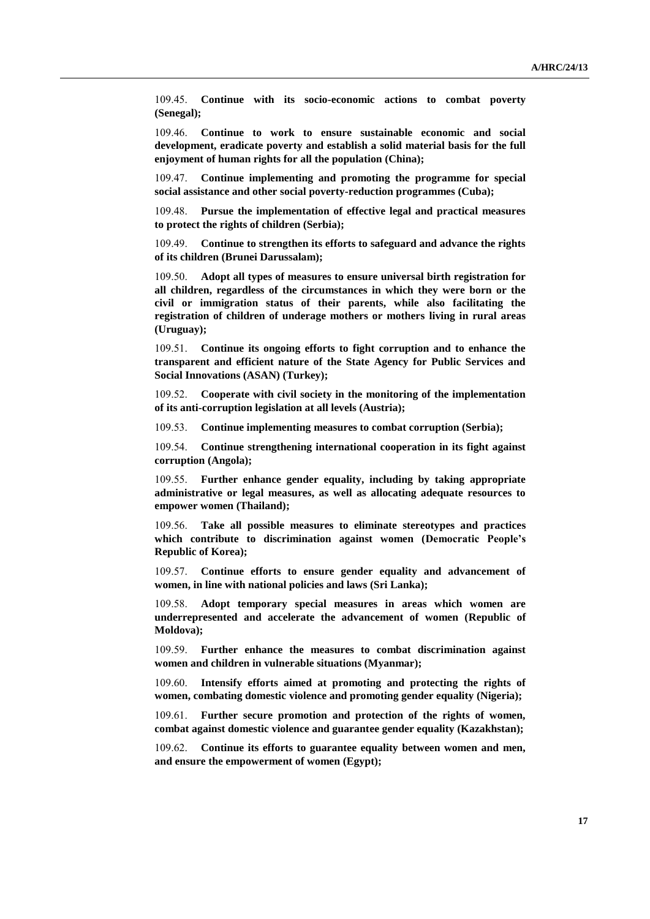109.45. **Continue with its socio-economic actions to combat poverty (Senegal);**

109.46. **Continue to work to ensure sustainable economic and social development, eradicate poverty and establish a solid material basis for the full enjoyment of human rights for all the population (China);**

109.47. **Continue implementing and promoting the programme for special social assistance and other social poverty-reduction programmes (Cuba);**

109.48. **Pursue the implementation of effective legal and practical measures to protect the rights of children (Serbia);**

109.49. **Continue to strengthen its efforts to safeguard and advance the rights of its children (Brunei Darussalam);**

109.50. **Adopt all types of measures to ensure universal birth registration for all children, regardless of the circumstances in which they were born or the civil or immigration status of their parents, while also facilitating the registration of children of underage mothers or mothers living in rural areas (Uruguay);**

109.51. **Continue its ongoing efforts to fight corruption and to enhance the transparent and efficient nature of the State Agency for Public Services and Social Innovations (ASAN) (Turkey);**

109.52. **Cooperate with civil society in the monitoring of the implementation of its anti-corruption legislation at all levels (Austria);**

109.53. **Continue implementing measures to combat corruption (Serbia);**

109.54. **Continue strengthening international cooperation in its fight against corruption (Angola);**

109.55. **Further enhance gender equality, including by taking appropriate administrative or legal measures, as well as allocating adequate resources to empower women (Thailand);**

109.56. **Take all possible measures to eliminate stereotypes and practices which contribute to discrimination against women (Democratic People's Republic of Korea);**

109.57. **Continue efforts to ensure gender equality and advancement of women, in line with national policies and laws (Sri Lanka);**

109.58. **Adopt temporary special measures in areas which women are underrepresented and accelerate the advancement of women (Republic of Moldova);**

109.59. **Further enhance the measures to combat discrimination against women and children in vulnerable situations (Myanmar);**

109.60. **Intensify efforts aimed at promoting and protecting the rights of women, combating domestic violence and promoting gender equality (Nigeria);**

109.61. **Further secure promotion and protection of the rights of women, combat against domestic violence and guarantee gender equality (Kazakhstan);**

109.62. **Continue its efforts to guarantee equality between women and men, and ensure the empowerment of women (Egypt);**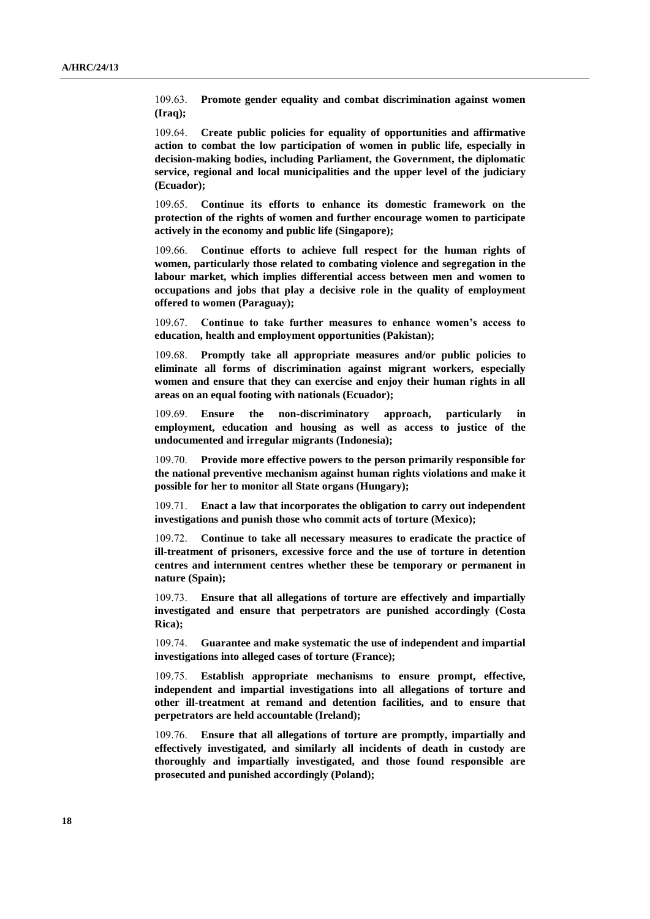109.63. **Promote gender equality and combat discrimination against women (Iraq);**

109.64. **Create public policies for equality of opportunities and affirmative action to combat the low participation of women in public life, especially in decision-making bodies, including Parliament, the Government, the diplomatic service, regional and local municipalities and the upper level of the judiciary (Ecuador);**

109.65. **Continue its efforts to enhance its domestic framework on the protection of the rights of women and further encourage women to participate actively in the economy and public life (Singapore);**

109.66. **Continue efforts to achieve full respect for the human rights of women, particularly those related to combating violence and segregation in the labour market, which implies differential access between men and women to occupations and jobs that play a decisive role in the quality of employment offered to women (Paraguay);**

109.67. **Continue to take further measures to enhance women's access to education, health and employment opportunities (Pakistan);**

109.68. **Promptly take all appropriate measures and/or public policies to eliminate all forms of discrimination against migrant workers, especially women and ensure that they can exercise and enjoy their human rights in all areas on an equal footing with nationals (Ecuador);**

109.69. **Ensure the non-discriminatory approach, particularly in employment, education and housing as well as access to justice of the undocumented and irregular migrants (Indonesia);**

109.70. **Provide more effective powers to the person primarily responsible for the national preventive mechanism against human rights violations and make it possible for her to monitor all State organs (Hungary);**

109.71. **Enact a law that incorporates the obligation to carry out independent investigations and punish those who commit acts of torture (Mexico);**

109.72. **Continue to take all necessary measures to eradicate the practice of ill-treatment of prisoners, excessive force and the use of torture in detention centres and internment centres whether these be temporary or permanent in nature (Spain);**

109.73. **Ensure that all allegations of torture are effectively and impartially investigated and ensure that perpetrators are punished accordingly (Costa Rica);**

109.74. **Guarantee and make systematic the use of independent and impartial investigations into alleged cases of torture (France);**

109.75. **Establish appropriate mechanisms to ensure prompt, effective, independent and impartial investigations into all allegations of torture and other ill-treatment at remand and detention facilities, and to ensure that perpetrators are held accountable (Ireland);**

109.76. **Ensure that all allegations of torture are promptly, impartially and effectively investigated, and similarly all incidents of death in custody are thoroughly and impartially investigated, and those found responsible are prosecuted and punished accordingly (Poland);**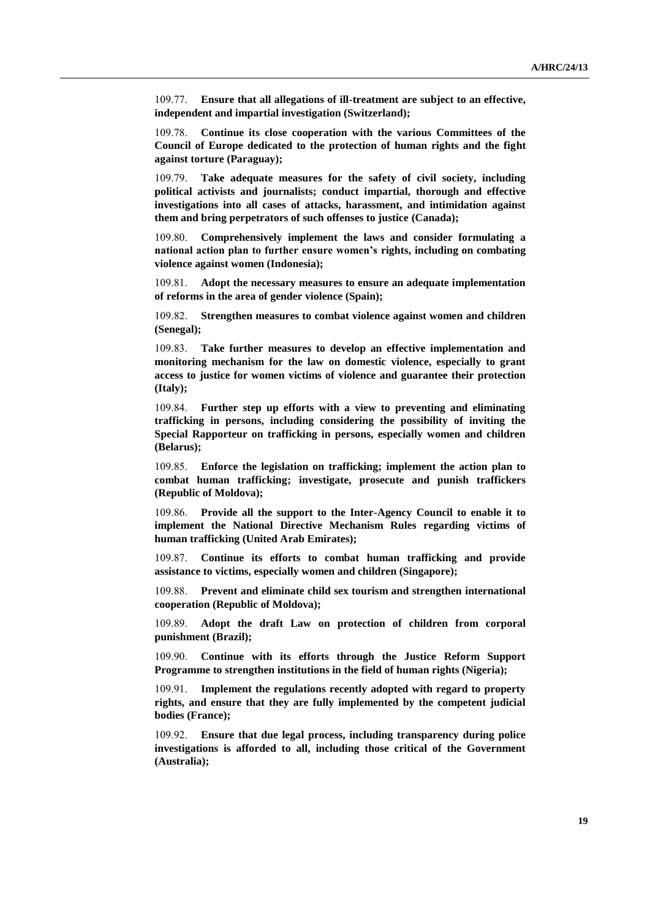109.77. **Ensure that all allegations of ill-treatment are subject to an effective, independent and impartial investigation (Switzerland);**

109.78. **Continue its close cooperation with the various Committees of the Council of Europe dedicated to the protection of human rights and the fight against torture (Paraguay);**

109.79. **Take adequate measures for the safety of civil society, including political activists and journalists; conduct impartial, thorough and effective investigations into all cases of attacks, harassment, and intimidation against them and bring perpetrators of such offenses to justice (Canada);**

109.80. **Comprehensively implement the laws and consider formulating a national action plan to further ensure women's rights, including on combating violence against women (Indonesia);**

109.81. **Adopt the necessary measures to ensure an adequate implementation of reforms in the area of gender violence (Spain);**

109.82. **Strengthen measures to combat violence against women and children (Senegal);**

109.83. **Take further measures to develop an effective implementation and monitoring mechanism for the law on domestic violence, especially to grant access to justice for women victims of violence and guarantee their protection (Italy);**

109.84. **Further step up efforts with a view to preventing and eliminating trafficking in persons, including considering the possibility of inviting the Special Rapporteur on trafficking in persons, especially women and children (Belarus);**

109.85. **Enforce the legislation on trafficking; implement the action plan to combat human trafficking; investigate, prosecute and punish traffickers (Republic of Moldova);**

109.86. **Provide all the support to the Inter-Agency Council to enable it to implement the National Directive Mechanism Rules regarding victims of human trafficking (United Arab Emirates);**

109.87. **Continue its efforts to combat human trafficking and provide assistance to victims, especially women and children (Singapore);**

109.88. **Prevent and eliminate child sex tourism and strengthen international cooperation (Republic of Moldova);**

109.89. **Adopt the draft Law on protection of children from corporal punishment (Brazil);**

109.90. **Continue with its efforts through the Justice Reform Support Programme to strengthen institutions in the field of human rights (Nigeria);**

109.91. **Implement the regulations recently adopted with regard to property rights, and ensure that they are fully implemented by the competent judicial bodies (France);**

109.92. **Ensure that due legal process, including transparency during police investigations is afforded to all, including those critical of the Government (Australia);**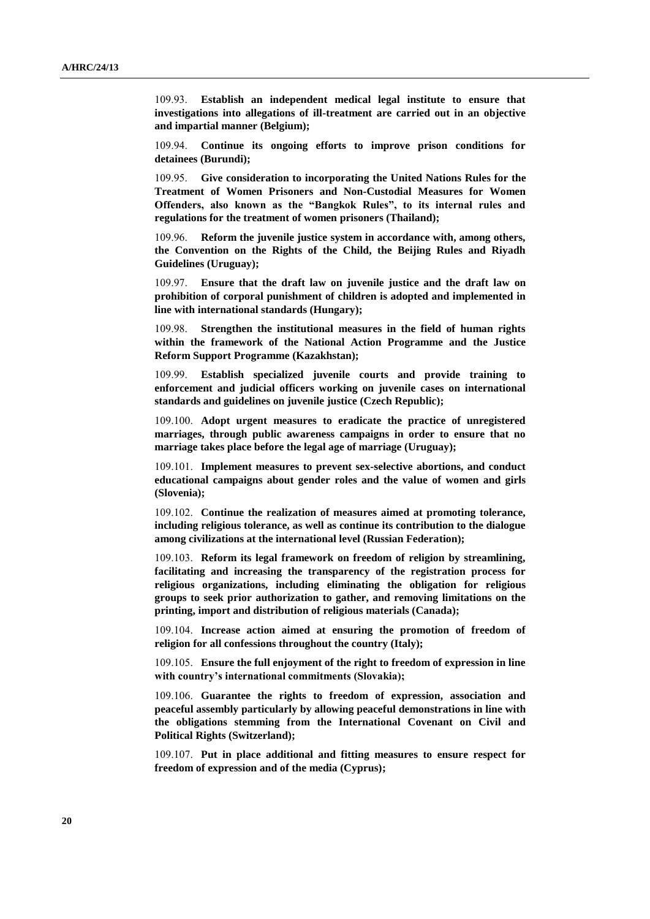109.93. **Establish an independent medical legal institute to ensure that investigations into allegations of ill-treatment are carried out in an objective and impartial manner (Belgium);**

109.94. **Continue its ongoing efforts to improve prison conditions for detainees (Burundi);**

109.95. **Give consideration to incorporating the United Nations Rules for the Treatment of Women Prisoners and Non-Custodial Measures for Women Offenders, also known as the "Bangkok Rules", to its internal rules and regulations for the treatment of women prisoners (Thailand);**

109.96. **Reform the juvenile justice system in accordance with, among others, the Convention on the Rights of the Child, the Beijing Rules and Riyadh Guidelines (Uruguay);**

109.97. **Ensure that the draft law on juvenile justice and the draft law on prohibition of corporal punishment of children is adopted and implemented in line with international standards (Hungary);**

109.98. **Strengthen the institutional measures in the field of human rights within the framework of the National Action Programme and the Justice Reform Support Programme (Kazakhstan);**

109.99. **Establish specialized juvenile courts and provide training to enforcement and judicial officers working on juvenile cases on international standards and guidelines on juvenile justice (Czech Republic);**

109.100. **Adopt urgent measures to eradicate the practice of unregistered marriages, through public awareness campaigns in order to ensure that no marriage takes place before the legal age of marriage (Uruguay);**

109.101. **Implement measures to prevent sex-selective abortions, and conduct educational campaigns about gender roles and the value of women and girls (Slovenia);**

109.102. **Continue the realization of measures aimed at promoting tolerance, including religious tolerance, as well as continue its contribution to the dialogue among civilizations at the international level (Russian Federation);**

109.103. **Reform its legal framework on freedom of religion by streamlining, facilitating and increasing the transparency of the registration process for religious organizations, including eliminating the obligation for religious groups to seek prior authorization to gather, and removing limitations on the printing, import and distribution of religious materials (Canada);**

109.104. **Increase action aimed at ensuring the promotion of freedom of religion for all confessions throughout the country (Italy);**

109.105. **Ensure the full enjoyment of the right to freedom of expression in line with country's international commitments (Slovakia);**

109.106. **Guarantee the rights to freedom of expression, association and peaceful assembly particularly by allowing peaceful demonstrations in line with the obligations stemming from the International Covenant on Civil and Political Rights (Switzerland);**

109.107. **Put in place additional and fitting measures to ensure respect for freedom of expression and of the media (Cyprus);**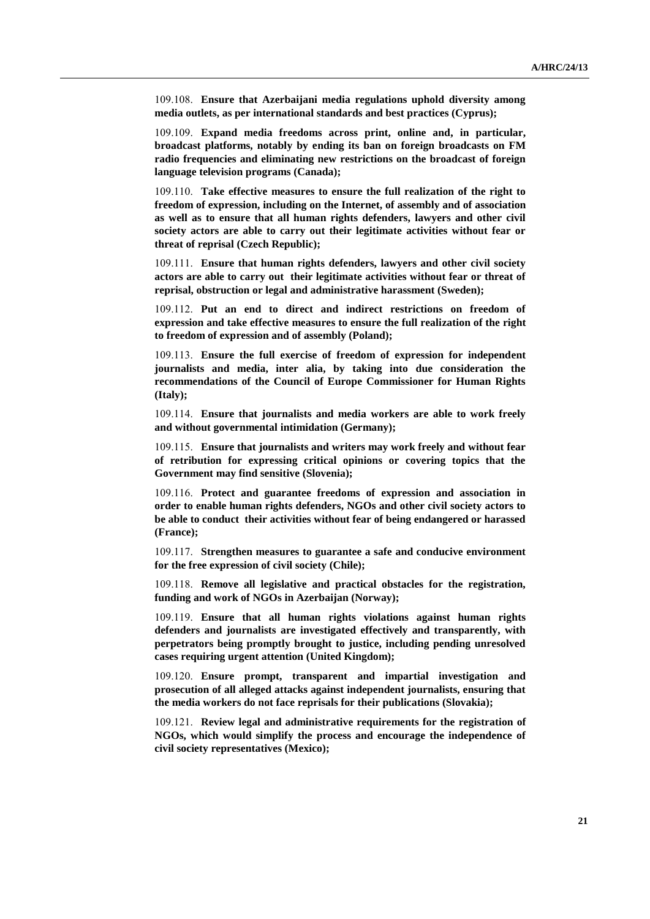109.108. **Ensure that Azerbaijani media regulations uphold diversity among media outlets, as per international standards and best practices (Cyprus);**

109.109. **Expand media freedoms across print, online and, in particular, broadcast platforms, notably by ending its ban on foreign broadcasts on FM radio frequencies and eliminating new restrictions on the broadcast of foreign language television programs (Canada);**

109.110. **Take effective measures to ensure the full realization of the right to freedom of expression, including on the Internet, of assembly and of association as well as to ensure that all human rights defenders, lawyers and other civil society actors are able to carry out their legitimate activities without fear or threat of reprisal (Czech Republic);**

109.111. **Ensure that human rights defenders, lawyers and other civil society actors are able to carry out their legitimate activities without fear or threat of reprisal, obstruction or legal and administrative harassment (Sweden);**

109.112. **Put an end to direct and indirect restrictions on freedom of expression and take effective measures to ensure the full realization of the right to freedom of expression and of assembly (Poland);**

109.113. **Ensure the full exercise of freedom of expression for independent journalists and media, inter alia, by taking into due consideration the recommendations of the Council of Europe Commissioner for Human Rights (Italy);**

109.114. **Ensure that journalists and media workers are able to work freely and without governmental intimidation (Germany);**

109.115. **Ensure that journalists and writers may work freely and without fear of retribution for expressing critical opinions or covering topics that the Government may find sensitive (Slovenia);**

109.116. **Protect and guarantee freedoms of expression and association in order to enable human rights defenders, NGOs and other civil society actors to be able to conduct their activities without fear of being endangered or harassed (France);**

109.117. **Strengthen measures to guarantee a safe and conducive environment for the free expression of civil society (Chile);**

109.118. **Remove all legislative and practical obstacles for the registration, funding and work of NGOs in Azerbaijan (Norway);**

109.119. **Ensure that all human rights violations against human rights defenders and journalists are investigated effectively and transparently, with perpetrators being promptly brought to justice, including pending unresolved cases requiring urgent attention (United Kingdom);**

109.120. **Ensure prompt, transparent and impartial investigation and prosecution of all alleged attacks against independent journalists, ensuring that the media workers do not face reprisals for their publications (Slovakia);**

109.121. **Review legal and administrative requirements for the registration of NGOs, which would simplify the process and encourage the independence of civil society representatives (Mexico);**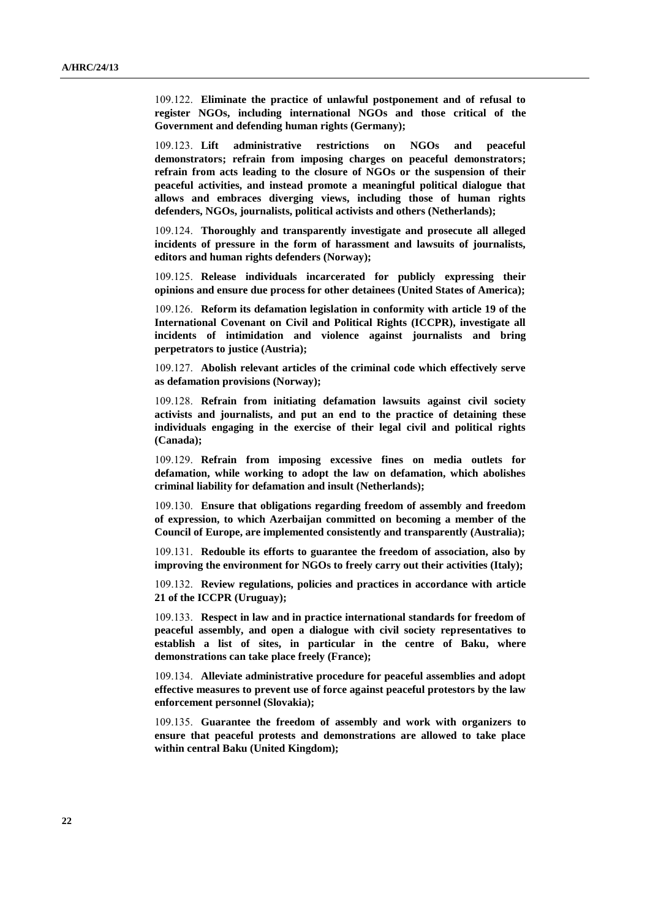109.122. **Eliminate the practice of unlawful postponement and of refusal to register NGOs, including international NGOs and those critical of the Government and defending human rights (Germany);**

109.123. **Lift administrative restrictions on NGOs and peaceful demonstrators; refrain from imposing charges on peaceful demonstrators; refrain from acts leading to the closure of NGOs or the suspension of their peaceful activities, and instead promote a meaningful political dialogue that allows and embraces diverging views, including those of human rights defenders, NGOs, journalists, political activists and others (Netherlands);**

109.124. **Thoroughly and transparently investigate and prosecute all alleged incidents of pressure in the form of harassment and lawsuits of journalists, editors and human rights defenders (Norway);**

109.125. **Release individuals incarcerated for publicly expressing their opinions and ensure due process for other detainees (United States of America);**

109.126. **Reform its defamation legislation in conformity with article 19 of the International Covenant on Civil and Political Rights (ICCPR), investigate all incidents of intimidation and violence against journalists and bring perpetrators to justice (Austria);**

109.127. **Abolish relevant articles of the criminal code which effectively serve as defamation provisions (Norway);**

109.128. **Refrain from initiating defamation lawsuits against civil society activists and journalists, and put an end to the practice of detaining these individuals engaging in the exercise of their legal civil and political rights (Canada);**

109.129. **Refrain from imposing excessive fines on media outlets for defamation, while working to adopt the law on defamation, which abolishes criminal liability for defamation and insult (Netherlands);**

109.130. **Ensure that obligations regarding freedom of assembly and freedom of expression, to which Azerbaijan committed on becoming a member of the Council of Europe, are implemented consistently and transparently (Australia);**

109.131. **Redouble its efforts to guarantee the freedom of association, also by improving the environment for NGOs to freely carry out their activities (Italy);**

109.132. **Review regulations, policies and practices in accordance with article 21 of the ICCPR (Uruguay);**

109.133. **Respect in law and in practice international standards for freedom of peaceful assembly, and open a dialogue with civil society representatives to establish a list of sites, in particular in the centre of Baku, where demonstrations can take place freely (France);**

109.134. **Alleviate administrative procedure for peaceful assemblies and adopt effective measures to prevent use of force against peaceful protestors by the law enforcement personnel (Slovakia);**

109.135. **Guarantee the freedom of assembly and work with organizers to ensure that peaceful protests and demonstrations are allowed to take place within central Baku (United Kingdom);**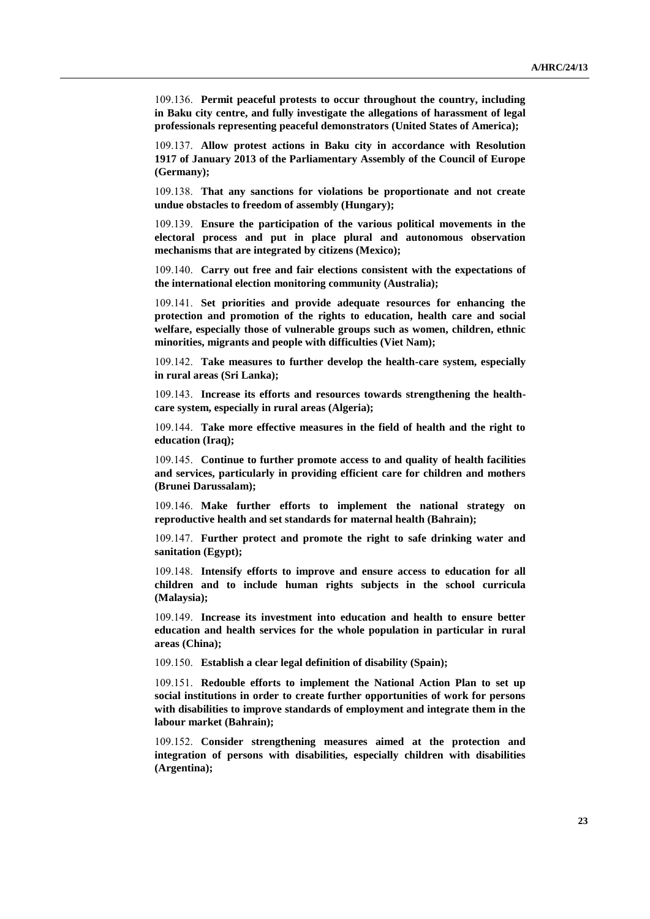109.136. **Permit peaceful protests to occur throughout the country, including in Baku city centre, and fully investigate the allegations of harassment of legal professionals representing peaceful demonstrators (United States of America);**

109.137. **Allow protest actions in Baku city in accordance with Resolution 1917 of January 2013 of the Parliamentary Assembly of the Council of Europe (Germany);**

109.138. **That any sanctions for violations be proportionate and not create undue obstacles to freedom of assembly (Hungary);**

109.139. **Ensure the participation of the various political movements in the electoral process and put in place plural and autonomous observation mechanisms that are integrated by citizens (Mexico);**

109.140. **Carry out free and fair elections consistent with the expectations of the international election monitoring community (Australia);**

109.141. **Set priorities and provide adequate resources for enhancing the protection and promotion of the rights to education, health care and social welfare, especially those of vulnerable groups such as women, children, ethnic minorities, migrants and people with difficulties (Viet Nam);**

109.142. **Take measures to further develop the health-care system, especially in rural areas (Sri Lanka);**

109.143. **Increase its efforts and resources towards strengthening the healthcare system, especially in rural areas (Algeria);**

109.144. **Take more effective measures in the field of health and the right to education (Iraq);**

109.145. **Continue to further promote access to and quality of health facilities and services, particularly in providing efficient care for children and mothers (Brunei Darussalam);**

109.146. **Make further efforts to implement the national strategy on reproductive health and set standards for maternal health (Bahrain);**

109.147. **Further protect and promote the right to safe drinking water and sanitation (Egypt);**

109.148. **Intensify efforts to improve and ensure access to education for all children and to include human rights subjects in the school curricula (Malaysia);**

109.149. **Increase its investment into education and health to ensure better education and health services for the whole population in particular in rural areas (China);**

109.150. **Establish a clear legal definition of disability (Spain);**

109.151. **Redouble efforts to implement the National Action Plan to set up social institutions in order to create further opportunities of work for persons with disabilities to improve standards of employment and integrate them in the labour market (Bahrain);**

109.152. **Consider strengthening measures aimed at the protection and integration of persons with disabilities, especially children with disabilities (Argentina);**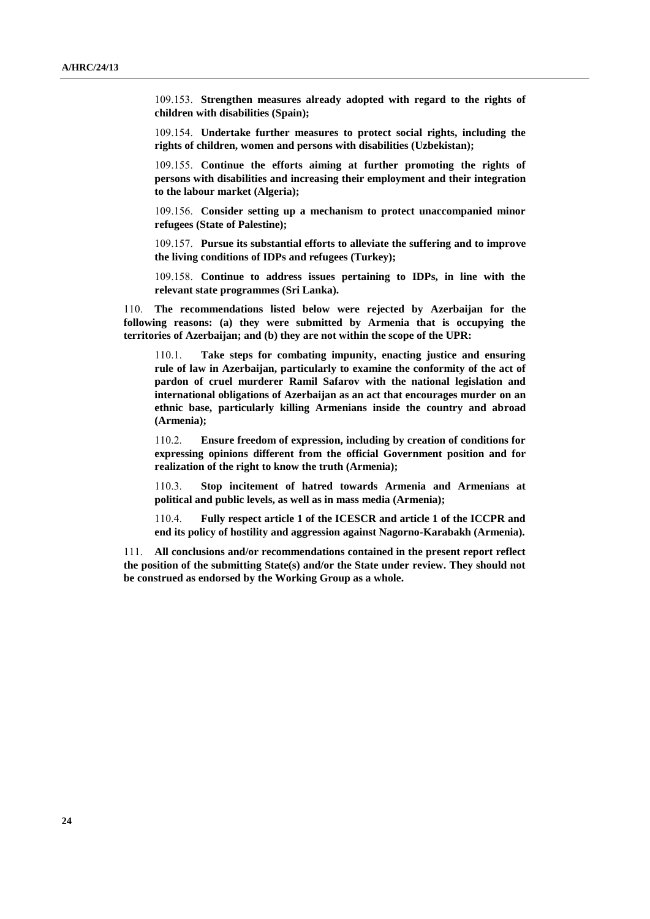109.153. **Strengthen measures already adopted with regard to the rights of children with disabilities (Spain);**

109.154. **Undertake further measures to protect social rights, including the rights of children, women and persons with disabilities (Uzbekistan);**

109.155. **Continue the efforts aiming at further promoting the rights of persons with disabilities and increasing their employment and their integration to the labour market (Algeria);**

109.156. **Consider setting up a mechanism to protect unaccompanied minor refugees (State of Palestine);**

109.157. **Pursue its substantial efforts to alleviate the suffering and to improve the living conditions of IDPs and refugees (Turkey);**

109.158. **Continue to address issues pertaining to IDPs, in line with the relevant state programmes (Sri Lanka).**

110. **The recommendations listed below were rejected by Azerbaijan for the following reasons: (a) they were submitted by Armenia that is occupying the territories of Azerbaijan; and (b) they are not within the scope of the UPR:**

110.1. **Take steps for combating impunity, enacting justice and ensuring rule of law in Azerbaijan, particularly to examine the conformity of the act of pardon of cruel murderer Ramil Safarov with the national legislation and international obligations of Azerbaijan as an act that encourages murder on an ethnic base, particularly killing Armenians inside the country and abroad (Armenia);**

110.2. **Ensure freedom of expression, including by creation of conditions for expressing opinions different from the official Government position and for realization of the right to know the truth (Armenia);**

110.3. **Stop incitement of hatred towards Armenia and Armenians at political and public levels, as well as in mass media (Armenia);**

110.4. **Fully respect article 1 of the ICESCR and article 1 of the ICCPR and end its policy of hostility and aggression against Nagorno-Karabakh (Armenia).**

111. **All conclusions and/or recommendations contained in the present report reflect the position of the submitting State(s) and/or the State under review. They should not be construed as endorsed by the Working Group as a whole.**